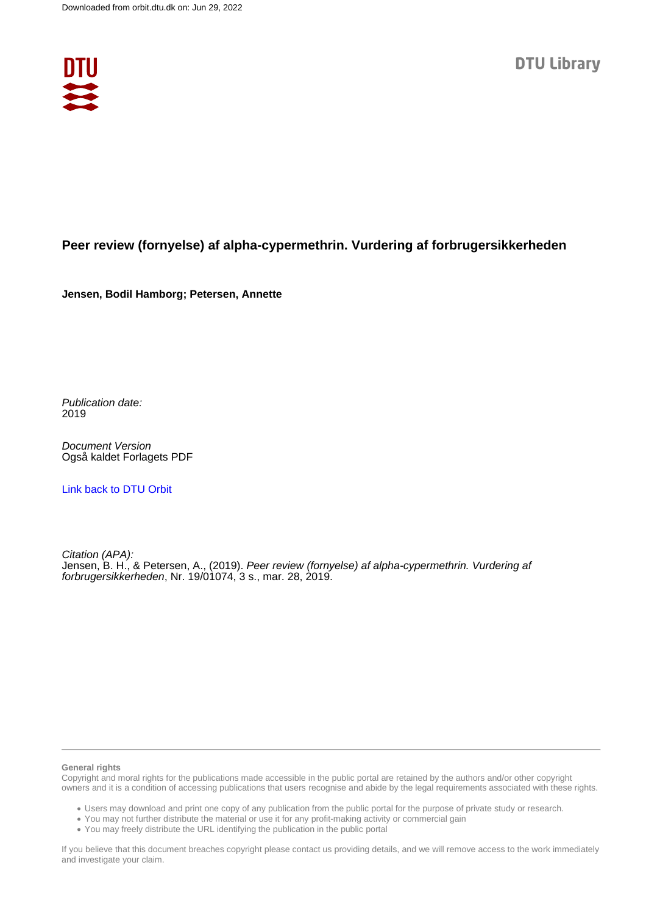

## **Peer review (fornyelse) af alpha-cypermethrin. Vurdering af forbrugersikkerheden**

**Jensen, Bodil Hamborg; Petersen, Annette**

Publication date: 2019

Document Version Også kaldet Forlagets PDF

[Link back to DTU Orbit](https://orbit.dtu.dk/da/publications/64720347-4a64-41ce-b7c0-356aef661a86)

Citation (APA): Jensen, B. H., & Petersen, A., (2019). Peer review (fornyelse) af alpha-cypermethrin. Vurdering af forbrugersikkerheden, Nr. 19/01074, 3 s., mar. 28, 2019.

#### **General rights**

Copyright and moral rights for the publications made accessible in the public portal are retained by the authors and/or other copyright owners and it is a condition of accessing publications that users recognise and abide by the legal requirements associated with these rights.

Users may download and print one copy of any publication from the public portal for the purpose of private study or research.

- You may not further distribute the material or use it for any profit-making activity or commercial gain
- You may freely distribute the URL identifying the publication in the public portal

If you believe that this document breaches copyright please contact us providing details, and we will remove access to the work immediately and investigate your claim.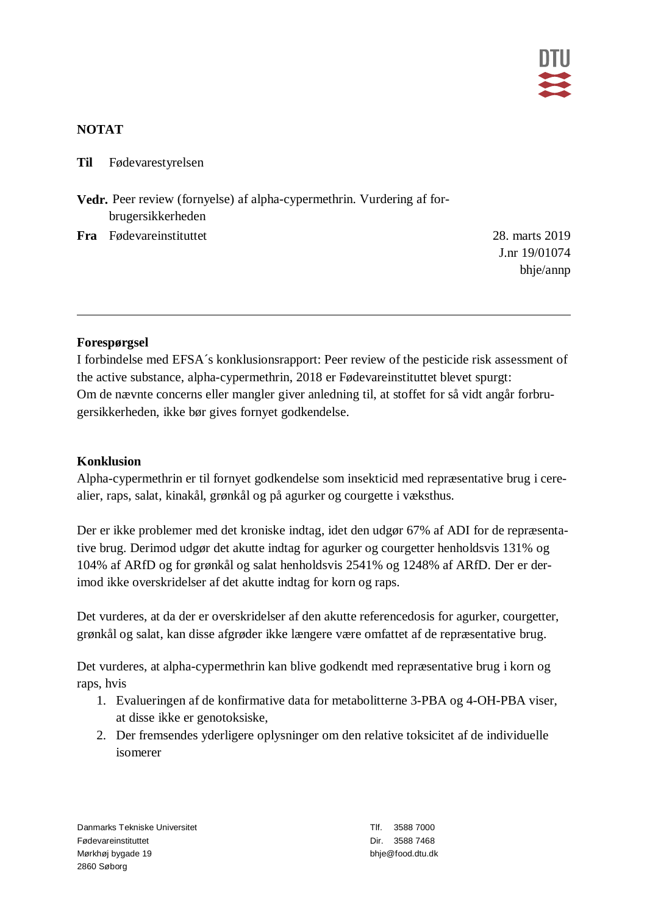

#### **NOTAT**

**Til** Fødevarestyrelsen

**Vedr.** Peer review (fornyelse) af alpha-cypermethrin. Vurdering af forbrugersikkerheden

**Fra** Fødevareinstituttet 28. marts 2019

J.nr 19/01074 bhje/annp

### **Forespørgsel**

I forbindelse med EFSA´s konklusionsrapport: Peer review of the pesticide risk assessment of the active substance, alpha-cypermethrin, 2018 er Fødevareinstituttet blevet spurgt: Om de nævnte concerns eller mangler giver anledning til, at stoffet for så vidt angår forbrugersikkerheden, ikke bør gives fornyet godkendelse.

#### **Konklusion**

Alpha-cypermethrin er til fornyet godkendelse som insekticid med repræsentative brug i cerealier, raps, salat, kinakål, grønkål og på agurker og courgette i væksthus.

Der er ikke problemer med det kroniske indtag, idet den udgør 67% af ADI for de repræsentative brug. Derimod udgør det akutte indtag for agurker og courgetter henholdsvis 131% og 104% af ARfD og for grønkål og salat henholdsvis 2541% og 1248% af ARfD. Der er derimod ikke overskridelser af det akutte indtag for korn og raps.

Det vurderes, at da der er overskridelser af den akutte referencedosis for agurker, courgetter, grønkål og salat, kan disse afgrøder ikke længere være omfattet af de repræsentative brug.

Det vurderes, at alpha-cypermethrin kan blive godkendt med repræsentative brug i korn og raps, hvis

- 1. Evalueringen af de konfirmative data for metabolitterne 3-PBA og 4-OH-PBA viser, at disse ikke er genotoksiske,
- 2. Der fremsendes yderligere oplysninger om den relative toksicitet af de individuelle isomerer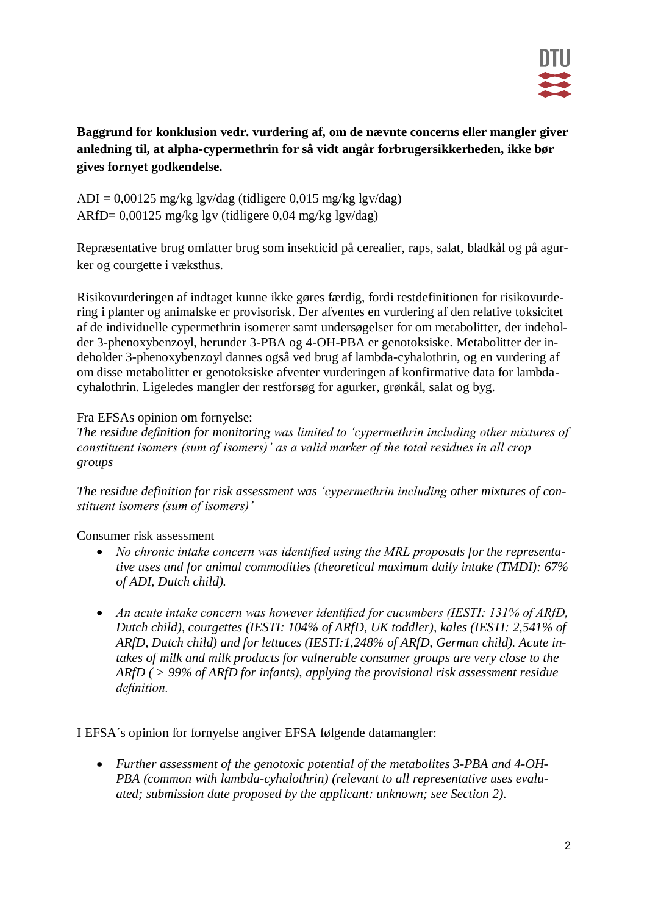

**Baggrund for konklusion vedr. vurdering af, om de nævnte concerns eller mangler giver anledning til, at alpha-cypermethrin for så vidt angår forbrugersikkerheden, ikke bør gives fornyet godkendelse.** 

 $ADI = 0,00125$  mg/kg lgv/dag (tidligere 0,015 mg/kg lgv/dag) ARfD= 0,00125 mg/kg lgv (tidligere 0,04 mg/kg lgv/dag)

Repræsentative brug omfatter brug som insekticid på cerealier, raps, salat, bladkål og på agurker og courgette i væksthus.

Risikovurderingen af indtaget kunne ikke gøres færdig, fordi restdefinitionen for risikovurdering i planter og animalske er provisorisk. Der afventes en vurdering af den relative toksicitet af de individuelle cypermethrin isomerer samt undersøgelser for om metabolitter, der indeholder 3-phenoxybenzoyl, herunder 3-PBA og 4-OH-PBA er genotoksiske. Metabolitter der indeholder 3-phenoxybenzoyl dannes også ved brug af lambda-cyhalothrin, og en vurdering af om disse metabolitter er genotoksiske afventer vurderingen af konfirmative data for lambdacyhalothrin. Ligeledes mangler der restforsøg for agurker, grønkål, salat og byg.

### Fra EFSAs opinion om fornyelse:

*The residue definition for monitoring was limited to 'cypermethrin including other mixtures of constituent isomers (sum of isomers)' as a valid marker of the total residues in all crop groups*

*The residue definition for risk assessment was 'cypermethrin including other mixtures of constituent isomers (sum of isomers)'*

Consumer risk assessment

- *No chronic intake concern was identified using the MRL proposals for the representative uses and for animal commodities (theoretical maximum daily intake (TMDI): 67% of ADI, Dutch child).*
- *An acute intake concern was however identified for cucumbers (IESTI: 131% of ARfD, Dutch child), courgettes (IESTI: 104% of ARfD, UK toddler), kales (IESTI: 2,541% of ARfD, Dutch child) and for lettuces (IESTI:1,248% of ARfD, German child). Acute intakes of milk and milk products for vulnerable consumer groups are very close to the ARfD ( > 99% of ARfD for infants), applying the provisional risk assessment residue definition.*

I EFSA´s opinion for fornyelse angiver EFSA følgende datamangler:

 *Further assessment of the genotoxic potential of the metabolites 3-PBA and 4-OH-PBA (common with lambda-cyhalothrin) (relevant to all representative uses evaluated; submission date proposed by the applicant: unknown; see Section 2).*